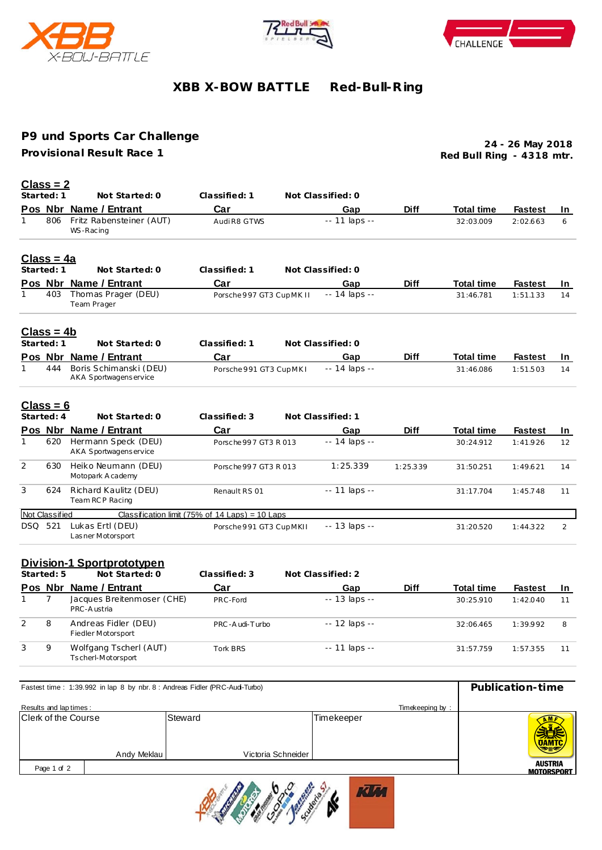





# **XBB X-BOW BATTLE Red-Bull-R ing**

## **P9 und Sports Car Challenge**

**Provisional Result Race 1**

**Red Bull Ring - 4318 mtr. 24 - 26 May 2018**

# **Class = 2**

|                | Started: 1         | Not Started: 0                                   | Classified: 1                                   | Not Classified: 0   |             |                   |                |                   |
|----------------|--------------------|--------------------------------------------------|-------------------------------------------------|---------------------|-------------|-------------------|----------------|-------------------|
|                |                    | Pos Nbr Name / Entrant                           | Car                                             | Gap                 | <b>Diff</b> | <b>Total time</b> | <b>Fastest</b> | In.               |
| 1              | 806                | Fritz Rabensteiner (AUT)<br>WS-Racing            | Audi R8 GTWS                                    | -- 11 laps --       |             | 32:03.009         | 2:02.663       | 6                 |
|                | <u> Class = 4a</u> |                                                  |                                                 |                     |             |                   |                |                   |
|                | Started: 1         | Not Started: 0                                   | Classified: 1                                   | Not Classified: 0   |             |                   |                |                   |
|                |                    | Pos Nbr Name / Entrant                           | Car                                             | Gap                 | <b>Diff</b> | <b>Total time</b> | <b>Fastest</b> | In                |
| 1              | 403                | Thomas Prager (DEU)<br>Team Prager               | Porsche 997 GT3 CupMK II                        | $- - 14$ laps $- -$ |             | 31:46.781         | 1:51.133       | 14                |
|                | Class = 4b         |                                                  |                                                 |                     |             |                   |                |                   |
|                | Started: 1         | Not Started: 0                                   | Classified: 1                                   | Not Classified: 0   |             |                   |                |                   |
|                |                    | Pos Nbr Name / Entrant                           | Car                                             | Gap                 | <b>Diff</b> | <b>Total time</b> | <b>Fastest</b> | In.               |
| 1              | 444                | Boris Schimanski (DEU)<br>AKA Sportwagens ervice | Porsche 991 GT3 CupMKI                          | $- - 14$ laps $- -$ |             | 31:46.086         | 1:51.503       | 14                |
|                | $Class = 6$        |                                                  |                                                 |                     |             |                   |                |                   |
|                | Started: 4         | Not Started: 0                                   | Classified: 3                                   | Not Classified: 1   |             |                   |                |                   |
|                |                    | Pos Nbr Name / Entrant                           | Car                                             | Gap                 | <b>Diff</b> | <b>Total time</b> | <b>Fastest</b> | <u>In</u>         |
| 1              | 620                | Hermann Speck (DEU)<br>AKA Sportwagens ervice    | Porsche 997 GT3 R 013                           | -- 14 laps --       |             | 30:24.912         | 1:41.926       | $12 \overline{ }$ |
| $\overline{2}$ | 630                | Heiko Neumann (DEU)<br>Motopark A cademy         | Porsche 997 GT3 R 013                           | 1:25.339            | 1:25.339    | 31:50.251         | 1:49.621       | 14                |
| 3              | 624                | Richard Kaulitz (DEU)<br>Team RCP Racing         | Renault RS 01                                   | $- - 11$ laps $- -$ |             | 31:17.704         | 1:45.748       | 11                |
|                | Not Classified     |                                                  | Classification limit (75% of 14 Laps) = 10 Laps |                     |             |                   |                |                   |
|                | DSQ 521            | Lukas Ertl (DEU)<br>Las ner Motorsport           | Porsche 991 GT3 CupMKII                         | -- 13 laps --       |             | 31:20.520         | 1:44.322       | 2                 |
|                |                    | Divicion 1 Cnortprotatypon                       |                                                 |                     |             |                   |                |                   |

### **Division-1 Sportprototypen**

|         | Started: 5 | Not Started: 0                               | Classified: 3  | Not Classified: 2   |             |                   |                |           |
|---------|------------|----------------------------------------------|----------------|---------------------|-------------|-------------------|----------------|-----------|
| Pos Nbr |            | Name / Entrant                               | Car            | Gap                 | <b>Diff</b> | <b>Total time</b> | <b>Fastest</b> | <b>In</b> |
|         |            | Jacques Breitenmoser (CHE)<br>PRC-Austria    | PRC-Ford       | $- - 13$ laps $- -$ |             | 30:25.910         | 1:42.040       | 11        |
| 2       | 8          | Andreas Fidler (DEU)<br>Fiedler Motorsport   | PRC-Audi-Turbo | $-12$ laps $-$      |             | 32:06.465         | 1:39.992       | 8         |
| 3       | Q          | Wolfgang Tscherl (AUT)<br>Tscherl-Motorsport | Tork BRS       | $-11$ laps $-$      |             | 31:57.759         | 1:57.355       | 11        |

| Fastest time: 1:39.992 in lap 8 by nbr. 8 : Andreas Fidler (PRC-Aud-Turbo) | Publication-time |                    |                   |                              |
|----------------------------------------------------------------------------|------------------|--------------------|-------------------|------------------------------|
| Results and lap times:                                                     |                  |                    |                   |                              |
| <b>Clerk of the Course</b><br>Andy Meklau                                  | Steward          | Victoria Schneider | <b>Timekeeper</b> | <b>UAMTC</b>                 |
| Page 1 of 2                                                                |                  |                    |                   | <b>AUSTRIA</b><br>MOTORSPORT |